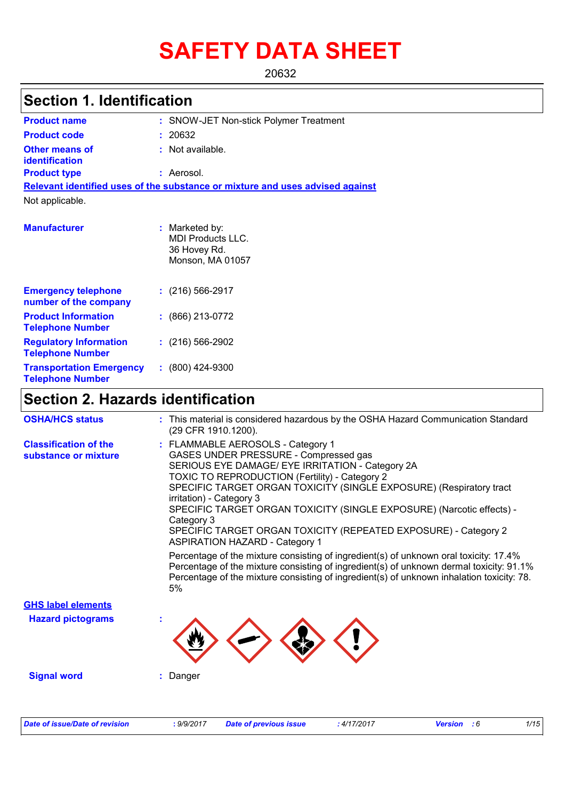# **SAFETY DATA SHEET**

20632

## **Section 1. Identification**

| <b>Product name</b>                                      | : SNOW-JET Non-stick Polymer Treatment                                         |
|----------------------------------------------------------|--------------------------------------------------------------------------------|
| <b>Product code</b>                                      | : 20632                                                                        |
| <b>Other means of</b><br><b>identification</b>           | : Not available.                                                               |
| <b>Product type</b>                                      | : Aerosol.                                                                     |
|                                                          | Relevant identified uses of the substance or mixture and uses advised against  |
| Not applicable.                                          |                                                                                |
| <b>Manufacturer</b>                                      | : Marketed by:<br><b>MDI Products LLC.</b><br>36 Hovey Rd.<br>Monson, MA 01057 |
| <b>Emergency telephone</b><br>number of the company      | $: (216) 566 - 2917$                                                           |
| <b>Product Information</b><br><b>Telephone Number</b>    | $: (866) 213-0772$                                                             |
| <b>Regulatory Information</b><br><b>Telephone Number</b> | $(216) 566-2902$                                                               |
| <b>Transportation Emergency</b>                          | $: (800)$ 424-9300                                                             |

## **Section 2. Hazards identification**

**Telephone Number**

| <b>OSHA/HCS status</b>                               | : This material is considered hazardous by the OSHA Hazard Communication Standard<br>(29 CFR 1910.1200).                                                                                                                                                                                                                                                                                                                                                                                                                                                                                                                                                                                                                                                                |
|------------------------------------------------------|-------------------------------------------------------------------------------------------------------------------------------------------------------------------------------------------------------------------------------------------------------------------------------------------------------------------------------------------------------------------------------------------------------------------------------------------------------------------------------------------------------------------------------------------------------------------------------------------------------------------------------------------------------------------------------------------------------------------------------------------------------------------------|
| <b>Classification of the</b><br>substance or mixture | : FLAMMABLE AEROSOLS - Category 1<br>GASES UNDER PRESSURE - Compressed gas<br>SERIOUS EYE DAMAGE/ EYE IRRITATION - Category 2A<br>TOXIC TO REPRODUCTION (Fertility) - Category 2<br>SPECIFIC TARGET ORGAN TOXICITY (SINGLE EXPOSURE) (Respiratory tract<br>irritation) - Category 3<br>SPECIFIC TARGET ORGAN TOXICITY (SINGLE EXPOSURE) (Narcotic effects) -<br>Category 3<br>SPECIFIC TARGET ORGAN TOXICITY (REPEATED EXPOSURE) - Category 2<br><b>ASPIRATION HAZARD - Category 1</b><br>Percentage of the mixture consisting of ingredient(s) of unknown oral toxicity: 17.4%<br>Percentage of the mixture consisting of ingredient(s) of unknown dermal toxicity: 91.1%<br>Percentage of the mixture consisting of ingredient(s) of unknown inhalation toxicity: 78. |
| <b>GHS label elements</b>                            | 5%                                                                                                                                                                                                                                                                                                                                                                                                                                                                                                                                                                                                                                                                                                                                                                      |
| <b>Hazard pictograms</b>                             |                                                                                                                                                                                                                                                                                                                                                                                                                                                                                                                                                                                                                                                                                                                                                                         |
|                                                      |                                                                                                                                                                                                                                                                                                                                                                                                                                                                                                                                                                                                                                                                                                                                                                         |
| <b>Signal word</b>                                   | Danger                                                                                                                                                                                                                                                                                                                                                                                                                                                                                                                                                                                                                                                                                                                                                                  |
|                                                      |                                                                                                                                                                                                                                                                                                                                                                                                                                                                                                                                                                                                                                                                                                                                                                         |
| <b>Date of issue/Date of revision</b>                | 1/15<br>: 9/9/2017<br>:4/17/2017<br><b>Date of previous issue</b><br><b>Version</b> : 6                                                                                                                                                                                                                                                                                                                                                                                                                                                                                                                                                                                                                                                                                 |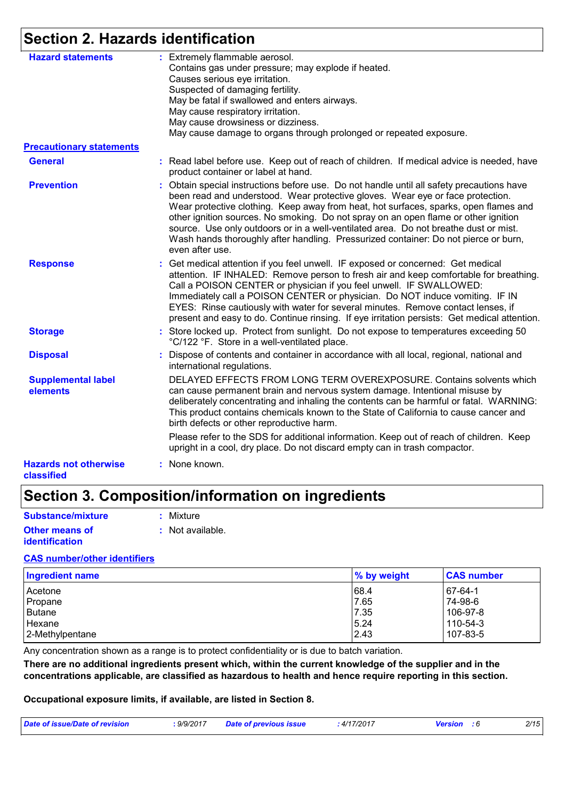## **Section 2. Hazards identification**

| <b>Hazard statements</b>                   | : Extremely flammable aerosol.<br>Contains gas under pressure; may explode if heated.                                                                                                                                                                                                                                                                                                                                                                                                                                                                        |
|--------------------------------------------|--------------------------------------------------------------------------------------------------------------------------------------------------------------------------------------------------------------------------------------------------------------------------------------------------------------------------------------------------------------------------------------------------------------------------------------------------------------------------------------------------------------------------------------------------------------|
|                                            | Causes serious eye irritation.                                                                                                                                                                                                                                                                                                                                                                                                                                                                                                                               |
|                                            | Suspected of damaging fertility.                                                                                                                                                                                                                                                                                                                                                                                                                                                                                                                             |
|                                            | May be fatal if swallowed and enters airways.                                                                                                                                                                                                                                                                                                                                                                                                                                                                                                                |
|                                            | May cause respiratory irritation.                                                                                                                                                                                                                                                                                                                                                                                                                                                                                                                            |
|                                            | May cause drowsiness or dizziness.                                                                                                                                                                                                                                                                                                                                                                                                                                                                                                                           |
|                                            | May cause damage to organs through prolonged or repeated exposure.                                                                                                                                                                                                                                                                                                                                                                                                                                                                                           |
| <b>Precautionary statements</b>            |                                                                                                                                                                                                                                                                                                                                                                                                                                                                                                                                                              |
| <b>General</b>                             | : Read label before use. Keep out of reach of children. If medical advice is needed, have<br>product container or label at hand.                                                                                                                                                                                                                                                                                                                                                                                                                             |
| <b>Prevention</b>                          | : Obtain special instructions before use. Do not handle until all safety precautions have<br>been read and understood. Wear protective gloves. Wear eye or face protection.<br>Wear protective clothing. Keep away from heat, hot surfaces, sparks, open flames and<br>other ignition sources. No smoking. Do not spray on an open flame or other ignition<br>source. Use only outdoors or in a well-ventilated area. Do not breathe dust or mist.<br>Wash hands thoroughly after handling. Pressurized container: Do not pierce or burn,<br>even after use. |
| <b>Response</b>                            | : Get medical attention if you feel unwell. IF exposed or concerned: Get medical<br>attention. IF INHALED: Remove person to fresh air and keep comfortable for breathing.<br>Call a POISON CENTER or physician if you feel unwell. IF SWALLOWED:<br>Immediately call a POISON CENTER or physician. Do NOT induce vomiting. IF IN<br>EYES: Rinse cautiously with water for several minutes. Remove contact lenses, if<br>present and easy to do. Continue rinsing. If eye irritation persists: Get medical attention.                                         |
| <b>Storage</b>                             | : Store locked up. Protect from sunlight. Do not expose to temperatures exceeding 50<br>°C/122 °F. Store in a well-ventilated place.                                                                                                                                                                                                                                                                                                                                                                                                                         |
| <b>Disposal</b>                            | : Dispose of contents and container in accordance with all local, regional, national and<br>international regulations.                                                                                                                                                                                                                                                                                                                                                                                                                                       |
| <b>Supplemental label</b><br>elements      | DELAYED EFFECTS FROM LONG TERM OVEREXPOSURE. Contains solvents which<br>can cause permanent brain and nervous system damage. Intentional misuse by<br>deliberately concentrating and inhaling the contents can be harmful or fatal. WARNING:<br>This product contains chemicals known to the State of California to cause cancer and<br>birth defects or other reproductive harm.                                                                                                                                                                            |
|                                            | Please refer to the SDS for additional information. Keep out of reach of children. Keep<br>upright in a cool, dry place. Do not discard empty can in trash compactor.                                                                                                                                                                                                                                                                                                                                                                                        |
| <b>Hazards not otherwise</b><br>classified | : None known.                                                                                                                                                                                                                                                                                                                                                                                                                                                                                                                                                |

## **Section 3. Composition/information on ingredients**

| Substance/mixture     | : Mixture        |
|-----------------------|------------------|
| <b>Other means of</b> | : Not available. |
| <i>identification</i> |                  |

#### **CAS number/other identifiers**

| <b>Ingredient name</b> | % by weight | <b>CAS number</b> |
|------------------------|-------------|-------------------|
| Acetone                | 68.4        | 67-64-1           |
| Propane                | 7.65        | 74-98-6           |
| Butane                 | 7.35        | 106-97-8          |
| Hexane                 | 5.24        | 110-54-3          |
| 2-Methylpentane        | 2.43        | 107-83-5          |

Any concentration shown as a range is to protect confidentiality or is due to batch variation.

**There are no additional ingredients present which, within the current knowledge of the supplier and in the concentrations applicable, are classified as hazardous to health and hence require reporting in this section.**

**Occupational exposure limits, if available, are listed in Section 8.**

| .9/9/2017<br>Date of issue/Date of revision<br>. | Date of previous issue | .4/17/2017 | Version | 2/15 |
|--------------------------------------------------|------------------------|------------|---------|------|
|--------------------------------------------------|------------------------|------------|---------|------|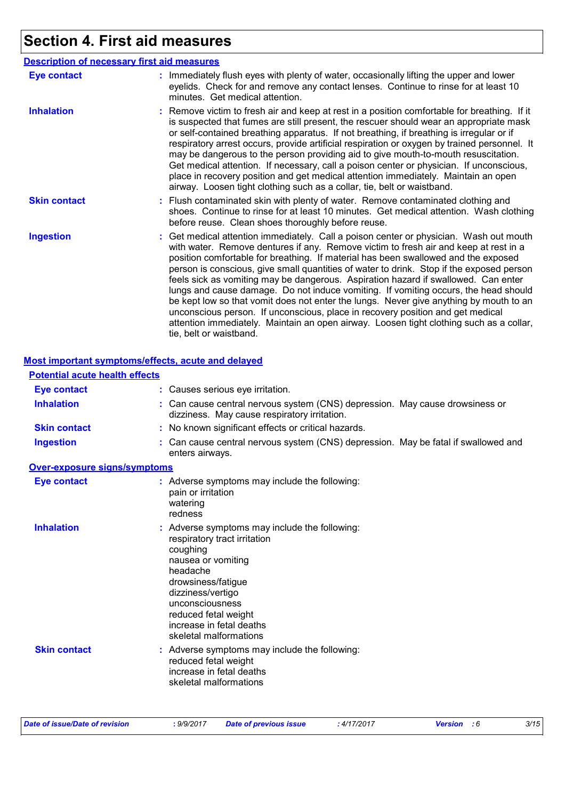## **Section 4. First aid measures**

|                     | <b>Description of necessary first aid measures</b>                                                                                                                                                                                                                                                                                                                                                                                                                                                                                                                                                                                                                                                                                                                                                                                              |
|---------------------|-------------------------------------------------------------------------------------------------------------------------------------------------------------------------------------------------------------------------------------------------------------------------------------------------------------------------------------------------------------------------------------------------------------------------------------------------------------------------------------------------------------------------------------------------------------------------------------------------------------------------------------------------------------------------------------------------------------------------------------------------------------------------------------------------------------------------------------------------|
| <b>Eye contact</b>  | : Immediately flush eyes with plenty of water, occasionally lifting the upper and lower<br>eyelids. Check for and remove any contact lenses. Continue to rinse for at least 10<br>minutes. Get medical attention.                                                                                                                                                                                                                                                                                                                                                                                                                                                                                                                                                                                                                               |
| <b>Inhalation</b>   | : Remove victim to fresh air and keep at rest in a position comfortable for breathing. If it<br>is suspected that fumes are still present, the rescuer should wear an appropriate mask<br>or self-contained breathing apparatus. If not breathing, if breathing is irregular or if<br>respiratory arrest occurs, provide artificial respiration or oxygen by trained personnel. It<br>may be dangerous to the person providing aid to give mouth-to-mouth resuscitation.<br>Get medical attention. If necessary, call a poison center or physician. If unconscious,<br>place in recovery position and get medical attention immediately. Maintain an open<br>airway. Loosen tight clothing such as a collar, tie, belt or waistband.                                                                                                            |
| <b>Skin contact</b> | : Flush contaminated skin with plenty of water. Remove contaminated clothing and<br>shoes. Continue to rinse for at least 10 minutes. Get medical attention. Wash clothing<br>before reuse. Clean shoes thoroughly before reuse.                                                                                                                                                                                                                                                                                                                                                                                                                                                                                                                                                                                                                |
| <b>Ingestion</b>    | : Get medical attention immediately. Call a poison center or physician. Wash out mouth<br>with water. Remove dentures if any. Remove victim to fresh air and keep at rest in a<br>position comfortable for breathing. If material has been swallowed and the exposed<br>person is conscious, give small quantities of water to drink. Stop if the exposed person<br>feels sick as vomiting may be dangerous. Aspiration hazard if swallowed. Can enter<br>lungs and cause damage. Do not induce vomiting. If vomiting occurs, the head should<br>be kept low so that vomit does not enter the lungs. Never give anything by mouth to an<br>unconscious person. If unconscious, place in recovery position and get medical<br>attention immediately. Maintain an open airway. Loosen tight clothing such as a collar,<br>tie, belt or waistband. |

#### **Most important symptoms/effects, acute and delayed**

| <b>Potential acute health effects</b> |                                                                                                                                                                                                                                                                       |
|---------------------------------------|-----------------------------------------------------------------------------------------------------------------------------------------------------------------------------------------------------------------------------------------------------------------------|
| <b>Eye contact</b>                    | : Causes serious eye irritation.                                                                                                                                                                                                                                      |
| <b>Inhalation</b>                     | : Can cause central nervous system (CNS) depression. May cause drowsiness or<br>dizziness. May cause respiratory irritation.                                                                                                                                          |
| <b>Skin contact</b>                   | : No known significant effects or critical hazards.                                                                                                                                                                                                                   |
| <b>Ingestion</b>                      | Can cause central nervous system (CNS) depression. May be fatal if swallowed and<br>enters airways.                                                                                                                                                                   |
| <b>Over-exposure signs/symptoms</b>   |                                                                                                                                                                                                                                                                       |
| <b>Eye contact</b>                    | : Adverse symptoms may include the following:<br>pain or irritation<br>watering<br>redness                                                                                                                                                                            |
| <b>Inhalation</b>                     | Adverse symptoms may include the following:<br>respiratory tract irritation<br>coughing<br>nausea or vomiting<br>headache<br>drowsiness/fatigue<br>dizziness/vertigo<br>unconsciousness<br>reduced fetal weight<br>increase in fetal deaths<br>skeletal malformations |
| <b>Skin contact</b>                   | : Adverse symptoms may include the following:<br>reduced fetal weight<br>increase in fetal deaths<br>skeletal malformations                                                                                                                                           |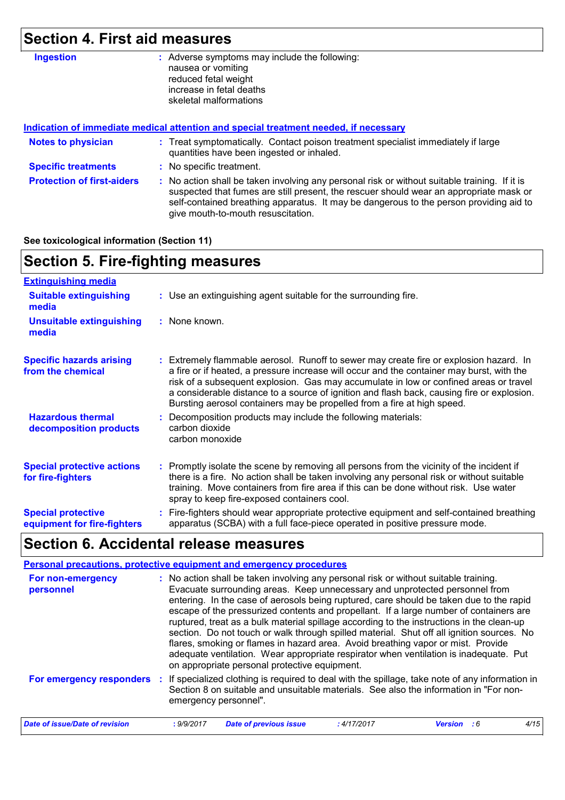## **Section 4. First aid measures**

| <b>Ingestion</b>                  | : Adverse symptoms may include the following:<br>nausea or vomiting<br>reduced fetal weight<br>increase in fetal deaths<br>skeletal malformations                                                                                                                                                                       |
|-----------------------------------|-------------------------------------------------------------------------------------------------------------------------------------------------------------------------------------------------------------------------------------------------------------------------------------------------------------------------|
|                                   | Indication of immediate medical attention and special treatment needed, if necessary                                                                                                                                                                                                                                    |
| <b>Notes to physician</b>         | : Treat symptomatically. Contact poison treatment specialist immediately if large<br>quantities have been ingested or inhaled.                                                                                                                                                                                          |
| <b>Specific treatments</b>        | : No specific treatment.                                                                                                                                                                                                                                                                                                |
| <b>Protection of first-aiders</b> | : No action shall be taken involving any personal risk or without suitable training. If it is<br>suspected that fumes are still present, the rescuer should wear an appropriate mask or<br>self-contained breathing apparatus. It may be dangerous to the person providing aid to<br>give mouth-to-mouth resuscitation. |

#### **See toxicological information (Section 11)**

| <b>Section 5. Fire-fighting measures</b>                 |                                                                                                                                                                                                                                                                                                                                                                                                                                                       |  |  |  |
|----------------------------------------------------------|-------------------------------------------------------------------------------------------------------------------------------------------------------------------------------------------------------------------------------------------------------------------------------------------------------------------------------------------------------------------------------------------------------------------------------------------------------|--|--|--|
| <b>Extinguishing media</b>                               |                                                                                                                                                                                                                                                                                                                                                                                                                                                       |  |  |  |
| <b>Suitable extinguishing</b><br>media                   | : Use an extinguishing agent suitable for the surrounding fire.                                                                                                                                                                                                                                                                                                                                                                                       |  |  |  |
| <b>Unsuitable extinguishing</b><br>media                 | $:$ None known.                                                                                                                                                                                                                                                                                                                                                                                                                                       |  |  |  |
| <b>Specific hazards arising</b><br>from the chemical     | : Extremely flammable aerosol. Runoff to sewer may create fire or explosion hazard. In<br>a fire or if heated, a pressure increase will occur and the container may burst, with the<br>risk of a subsequent explosion. Gas may accumulate in low or confined areas or travel<br>a considerable distance to a source of ignition and flash back, causing fire or explosion.<br>Bursting aerosol containers may be propelled from a fire at high speed. |  |  |  |
| <b>Hazardous thermal</b><br>decomposition products       | Decomposition products may include the following materials:<br>carbon dioxide<br>carbon monoxide                                                                                                                                                                                                                                                                                                                                                      |  |  |  |
| <b>Special protective actions</b><br>for fire-fighters   | : Promptly isolate the scene by removing all persons from the vicinity of the incident if<br>there is a fire. No action shall be taken involving any personal risk or without suitable<br>training. Move containers from fire area if this can be done without risk. Use water<br>spray to keep fire-exposed containers cool.                                                                                                                         |  |  |  |
| <b>Special protective</b><br>equipment for fire-fighters | Fire-fighters should wear appropriate protective equipment and self-contained breathing<br>apparatus (SCBA) with a full face-piece operated in positive pressure mode.                                                                                                                                                                                                                                                                                |  |  |  |
|                                                          |                                                                                                                                                                                                                                                                                                                                                                                                                                                       |  |  |  |

### **Section 6. Accidental release measures**

| <b>Personal precautions, protective equipment and emergency procedures</b> |                       |                                                                                                                                                                                                                                                                                                                                                                                                                                                                                                                                                                                                                                                                                                                                                                                  |            |                      |      |
|----------------------------------------------------------------------------|-----------------------|----------------------------------------------------------------------------------------------------------------------------------------------------------------------------------------------------------------------------------------------------------------------------------------------------------------------------------------------------------------------------------------------------------------------------------------------------------------------------------------------------------------------------------------------------------------------------------------------------------------------------------------------------------------------------------------------------------------------------------------------------------------------------------|------------|----------------------|------|
| For non-emergency<br>personnel                                             |                       | : No action shall be taken involving any personal risk or without suitable training.<br>Evacuate surrounding areas. Keep unnecessary and unprotected personnel from<br>entering. In the case of aerosols being ruptured, care should be taken due to the rapid<br>escape of the pressurized contents and propellant. If a large number of containers are<br>ruptured, treat as a bulk material spillage according to the instructions in the clean-up<br>section. Do not touch or walk through spilled material. Shut off all ignition sources. No<br>flares, smoking or flames in hazard area. Avoid breathing vapor or mist. Provide<br>adequate ventilation. Wear appropriate respirator when ventilation is inadequate. Put<br>on appropriate personal protective equipment. |            |                      |      |
| For emergency responders                                                   | emergency personnel". | : If specialized clothing is required to deal with the spillage, take note of any information in<br>Section 8 on suitable and unsuitable materials. See also the information in "For non-                                                                                                                                                                                                                                                                                                                                                                                                                                                                                                                                                                                        |            |                      |      |
| <b>Date of issue/Date of revision</b>                                      | : 9/9/2017            | <b>Date of previous issue</b>                                                                                                                                                                                                                                                                                                                                                                                                                                                                                                                                                                                                                                                                                                                                                    | :4/17/2017 | <b>Version</b><br>.6 | 4/15 |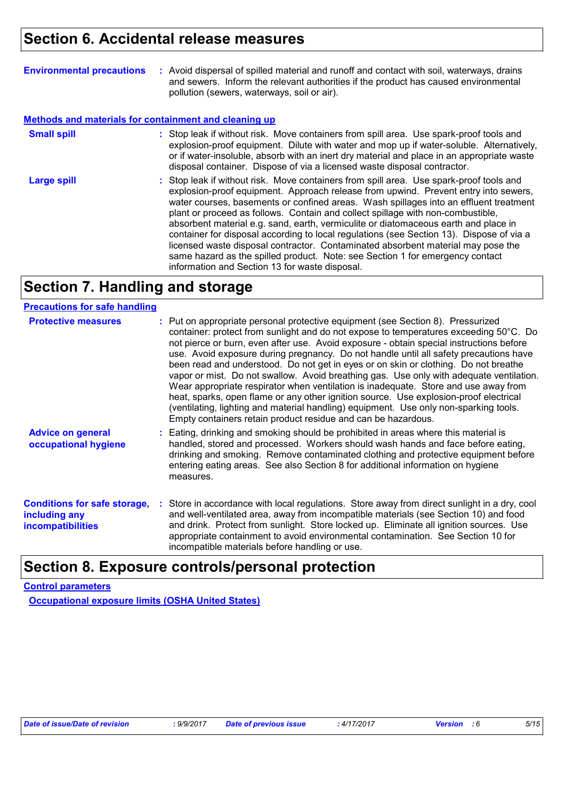## **Section 6. Accidental release measures**

| <b>Environmental precautions</b>                             | : Avoid dispersal of spilled material and runoff and contact with soil, waterways, drains<br>and sewers. Inform the relevant authorities if the product has caused environmental<br>pollution (sewers, waterways, soil or air).                                                                                                                                                                                                                                                                                                                                                                                                                                                                                                                                      |
|--------------------------------------------------------------|----------------------------------------------------------------------------------------------------------------------------------------------------------------------------------------------------------------------------------------------------------------------------------------------------------------------------------------------------------------------------------------------------------------------------------------------------------------------------------------------------------------------------------------------------------------------------------------------------------------------------------------------------------------------------------------------------------------------------------------------------------------------|
| <b>Methods and materials for containment and cleaning up</b> |                                                                                                                                                                                                                                                                                                                                                                                                                                                                                                                                                                                                                                                                                                                                                                      |
| <b>Small spill</b>                                           | : Stop leak if without risk. Move containers from spill area. Use spark-proof tools and<br>explosion-proof equipment. Dilute with water and mop up if water-soluble. Alternatively,<br>or if water-insoluble, absorb with an inert dry material and place in an appropriate waste<br>disposal container. Dispose of via a licensed waste disposal contractor.                                                                                                                                                                                                                                                                                                                                                                                                        |
| <b>Large spill</b>                                           | : Stop leak if without risk. Move containers from spill area. Use spark-proof tools and<br>explosion-proof equipment. Approach release from upwind. Prevent entry into sewers,<br>water courses, basements or confined areas. Wash spillages into an effluent treatment<br>plant or proceed as follows. Contain and collect spillage with non-combustible,<br>absorbent material e.g. sand, earth, vermiculite or diatomaceous earth and place in<br>container for disposal according to local regulations (see Section 13). Dispose of via a<br>licensed waste disposal contractor. Contaminated absorbent material may pose the<br>same hazard as the spilled product. Note: see Section 1 for emergency contact<br>information and Section 13 for waste disposal. |

## **Section 7. Handling and storage**

#### **Precautions for safe handling**

| <b>Protective measures</b>                                                       | : Put on appropriate personal protective equipment (see Section 8). Pressurized<br>container: protect from sunlight and do not expose to temperatures exceeding 50°C. Do<br>not pierce or burn, even after use. Avoid exposure - obtain special instructions before<br>use. Avoid exposure during pregnancy. Do not handle until all safety precautions have<br>been read and understood. Do not get in eyes or on skin or clothing. Do not breathe<br>vapor or mist. Do not swallow. Avoid breathing gas. Use only with adequate ventilation.<br>Wear appropriate respirator when ventilation is inadequate. Store and use away from<br>heat, sparks, open flame or any other ignition source. Use explosion-proof electrical<br>(ventilating, lighting and material handling) equipment. Use only non-sparking tools.<br>Empty containers retain product residue and can be hazardous. |
|----------------------------------------------------------------------------------|------------------------------------------------------------------------------------------------------------------------------------------------------------------------------------------------------------------------------------------------------------------------------------------------------------------------------------------------------------------------------------------------------------------------------------------------------------------------------------------------------------------------------------------------------------------------------------------------------------------------------------------------------------------------------------------------------------------------------------------------------------------------------------------------------------------------------------------------------------------------------------------|
| <b>Advice on general</b><br>occupational hygiene                                 | : Eating, drinking and smoking should be prohibited in areas where this material is<br>handled, stored and processed. Workers should wash hands and face before eating,<br>drinking and smoking. Remove contaminated clothing and protective equipment before<br>entering eating areas. See also Section 8 for additional information on hygiene<br>measures.                                                                                                                                                                                                                                                                                                                                                                                                                                                                                                                            |
| <b>Conditions for safe storage,</b><br>including any<br><b>incompatibilities</b> | : Store in accordance with local regulations. Store away from direct sunlight in a dry, cool<br>and well-ventilated area, away from incompatible materials (see Section 10) and food<br>and drink. Protect from sunlight. Store locked up. Eliminate all ignition sources. Use<br>appropriate containment to avoid environmental contamination. See Section 10 for<br>incompatible materials before handling or use.                                                                                                                                                                                                                                                                                                                                                                                                                                                                     |

### **Section 8. Exposure controls/personal protection**

#### **Control parameters**

**Occupational exposure limits (OSHA United States)**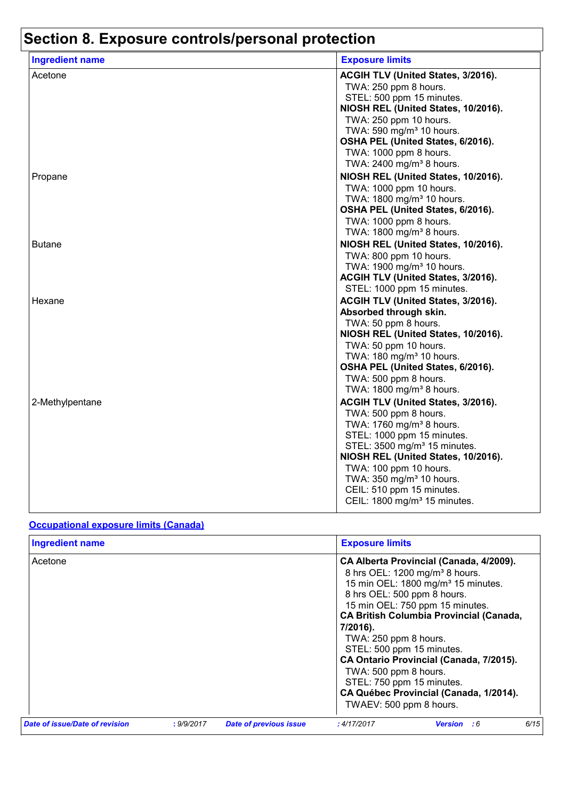| <b>Ingredient name</b> | <b>Exposure limits</b>                                           |
|------------------------|------------------------------------------------------------------|
| Acetone                | ACGIH TLV (United States, 3/2016).                               |
|                        | TWA: 250 ppm 8 hours.                                            |
|                        | STEL: 500 ppm 15 minutes.                                        |
|                        | NIOSH REL (United States, 10/2016).                              |
|                        | TWA: 250 ppm 10 hours.                                           |
|                        | TWA: 590 mg/m <sup>3</sup> 10 hours.                             |
|                        | OSHA PEL (United States, 6/2016).                                |
|                        | TWA: 1000 ppm 8 hours.                                           |
|                        | TWA: 2400 mg/m <sup>3</sup> 8 hours.                             |
| Propane                | NIOSH REL (United States, 10/2016).                              |
|                        | TWA: 1000 ppm 10 hours.                                          |
|                        | TWA: 1800 mg/m <sup>3</sup> 10 hours.                            |
|                        | OSHA PEL (United States, 6/2016).                                |
|                        | TWA: 1000 ppm 8 hours.                                           |
|                        | TWA: 1800 mg/m <sup>3</sup> 8 hours.                             |
| <b>Butane</b>          | NIOSH REL (United States, 10/2016).                              |
|                        | TWA: 800 ppm 10 hours.                                           |
|                        | TWA: 1900 mg/m <sup>3</sup> 10 hours.                            |
|                        | ACGIH TLV (United States, 3/2016).<br>STEL: 1000 ppm 15 minutes. |
|                        |                                                                  |
| Hexane                 | ACGIH TLV (United States, 3/2016).<br>Absorbed through skin.     |
|                        | TWA: 50 ppm 8 hours.                                             |
|                        | NIOSH REL (United States, 10/2016).                              |
|                        | TWA: 50 ppm 10 hours.                                            |
|                        | TWA: 180 mg/m <sup>3</sup> 10 hours.                             |
|                        | OSHA PEL (United States, 6/2016).                                |
|                        | TWA: 500 ppm 8 hours.                                            |
|                        | TWA: 1800 mg/m <sup>3</sup> 8 hours.                             |
| 2-Methylpentane        | ACGIH TLV (United States, 3/2016).                               |
|                        | TWA: 500 ppm 8 hours.                                            |
|                        | TWA: 1760 mg/m <sup>3</sup> 8 hours.                             |
|                        | STEL: 1000 ppm 15 minutes.                                       |
|                        | STEL: 3500 mg/m <sup>3</sup> 15 minutes.                         |
|                        | NIOSH REL (United States, 10/2016).                              |
|                        | TWA: 100 ppm 10 hours.                                           |
|                        | TWA: 350 mg/m <sup>3</sup> 10 hours.                             |
|                        | CEIL: 510 ppm 15 minutes.                                        |
|                        | CEIL: 1800 mg/m <sup>3</sup> 15 minutes.                         |

#### **Occupational exposure limits (Canada)**

| <b>Ingredient name</b>         |            |                        | <b>Exposure limits</b>                                                                                                                                                         |                                                                                                                                                                                                                                                                                                                   |      |
|--------------------------------|------------|------------------------|--------------------------------------------------------------------------------------------------------------------------------------------------------------------------------|-------------------------------------------------------------------------------------------------------------------------------------------------------------------------------------------------------------------------------------------------------------------------------------------------------------------|------|
| Acetone                        |            |                        | 8 hrs OEL: 500 ppm 8 hours.<br>7/2016).<br>TWA: 250 ppm 8 hours.<br>STEL: 500 ppm 15 minutes.<br>TWA: 500 ppm 8 hours.<br>STEL: 750 ppm 15 minutes.<br>TWAEV: 500 ppm 8 hours. | CA Alberta Provincial (Canada, 4/2009).<br>8 hrs OEL: 1200 mg/m <sup>3</sup> 8 hours.<br>15 min OEL: 1800 mg/m <sup>3</sup> 15 minutes.<br>15 min OEL: 750 ppm 15 minutes.<br><b>CA British Columbia Provincial (Canada,</b><br>CA Ontario Provincial (Canada, 7/2015).<br>CA Québec Provincial (Canada, 1/2014). |      |
| Date of issue/Date of revision | : 9/9/2017 | Date of previous issue | :4/17/2017                                                                                                                                                                     | <b>Version</b> : 6                                                                                                                                                                                                                                                                                                | 6/15 |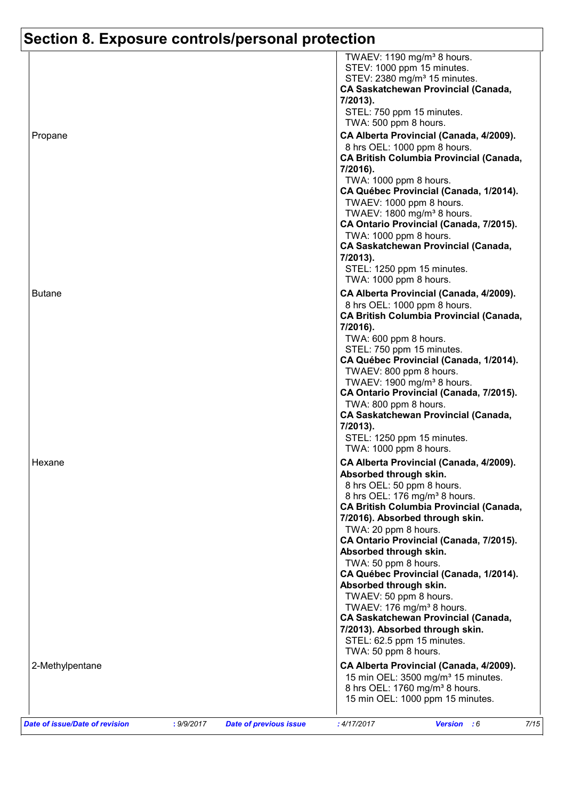| TWA: 1000 ppm 8 hours.<br>CA Québec Provincial (Canada, 1/2014).<br>TWAEV: 1000 ppm 8 hours.<br>TWAEV: 1800 mg/m <sup>3</sup> 8 hours.<br>CA Ontario Provincial (Canada, 7/2015).<br>TWA: 1000 ppm 8 hours.<br><b>CA Saskatchewan Provincial (Canada,</b><br>7/2013).<br>STEL: 1250 ppm 15 minutes.<br>TWA: 1000 ppm 8 hours.<br><b>Butane</b><br>CA Alberta Provincial (Canada, 4/2009).<br>8 hrs OEL: 1000 ppm 8 hours.<br><b>CA British Columbia Provincial (Canada,</b><br>7/2016).<br>TWA: 600 ppm 8 hours.<br>STEL: 750 ppm 15 minutes.<br>CA Québec Provincial (Canada, 1/2014).<br>TWAEV: 800 ppm 8 hours.<br>TWAEV: 1900 mg/m <sup>3</sup> 8 hours.<br>CA Ontario Provincial (Canada, 7/2015).<br>TWA: 800 ppm 8 hours.<br><b>CA Saskatchewan Provincial (Canada,</b><br>7/2013).<br>STEL: 1250 ppm 15 minutes.<br>TWA: 1000 ppm 8 hours.<br>CA Alberta Provincial (Canada, 4/2009).<br>Hexane<br>Absorbed through skin.<br>8 hrs OEL: 50 ppm 8 hours.<br>8 hrs OEL: 176 mg/m <sup>3</sup> 8 hours.<br><b>CA British Columbia Provincial (Canada,</b><br>7/2016). Absorbed through skin.<br>TWA: 20 ppm 8 hours.<br>CA Ontario Provincial (Canada, 7/2015).<br>Absorbed through skin.<br>TWA: 50 ppm 8 hours.<br>CA Québec Provincial (Canada, 1/2014).<br>Absorbed through skin.<br>TWAEV: 50 ppm 8 hours.<br>TWAEV: 176 mg/m <sup>3</sup> 8 hours.<br><b>CA Saskatchewan Provincial (Canada,</b><br>7/2013). Absorbed through skin.<br>STEL: 62.5 ppm 15 minutes.<br>TWA: 50 ppm 8 hours.<br>CA Alberta Provincial (Canada, 4/2009).<br>2-Methylpentane<br>15 min OEL: 3500 mg/m <sup>3</sup> 15 minutes.<br>8 hrs OEL: 1760 mg/m <sup>3</sup> 8 hours.<br>15 min OEL: 1000 ppm 15 minutes.<br>Date of issue/Date of revision | Propane | TWAEV: 1190 mg/m <sup>3</sup> 8 hours.<br>STEV: 1000 ppm 15 minutes.<br>STEV: 2380 mg/m <sup>3</sup> 15 minutes.<br><b>CA Saskatchewan Provincial (Canada,</b><br>7/2013).<br>STEL: 750 ppm 15 minutes.<br>TWA: 500 ppm 8 hours.<br>CA Alberta Provincial (Canada, 4/2009).<br>8 hrs OEL: 1000 ppm 8 hours.<br><b>CA British Columbia Provincial (Canada,</b><br>7/2016). |
|------------------------------------------------------------------------------------------------------------------------------------------------------------------------------------------------------------------------------------------------------------------------------------------------------------------------------------------------------------------------------------------------------------------------------------------------------------------------------------------------------------------------------------------------------------------------------------------------------------------------------------------------------------------------------------------------------------------------------------------------------------------------------------------------------------------------------------------------------------------------------------------------------------------------------------------------------------------------------------------------------------------------------------------------------------------------------------------------------------------------------------------------------------------------------------------------------------------------------------------------------------------------------------------------------------------------------------------------------------------------------------------------------------------------------------------------------------------------------------------------------------------------------------------------------------------------------------------------------------------------------------------------------------------------------------------------------------------------------------------|---------|---------------------------------------------------------------------------------------------------------------------------------------------------------------------------------------------------------------------------------------------------------------------------------------------------------------------------------------------------------------------------|
|                                                                                                                                                                                                                                                                                                                                                                                                                                                                                                                                                                                                                                                                                                                                                                                                                                                                                                                                                                                                                                                                                                                                                                                                                                                                                                                                                                                                                                                                                                                                                                                                                                                                                                                                          |         |                                                                                                                                                                                                                                                                                                                                                                           |
|                                                                                                                                                                                                                                                                                                                                                                                                                                                                                                                                                                                                                                                                                                                                                                                                                                                                                                                                                                                                                                                                                                                                                                                                                                                                                                                                                                                                                                                                                                                                                                                                                                                                                                                                          |         |                                                                                                                                                                                                                                                                                                                                                                           |
|                                                                                                                                                                                                                                                                                                                                                                                                                                                                                                                                                                                                                                                                                                                                                                                                                                                                                                                                                                                                                                                                                                                                                                                                                                                                                                                                                                                                                                                                                                                                                                                                                                                                                                                                          |         |                                                                                                                                                                                                                                                                                                                                                                           |
|                                                                                                                                                                                                                                                                                                                                                                                                                                                                                                                                                                                                                                                                                                                                                                                                                                                                                                                                                                                                                                                                                                                                                                                                                                                                                                                                                                                                                                                                                                                                                                                                                                                                                                                                          |         |                                                                                                                                                                                                                                                                                                                                                                           |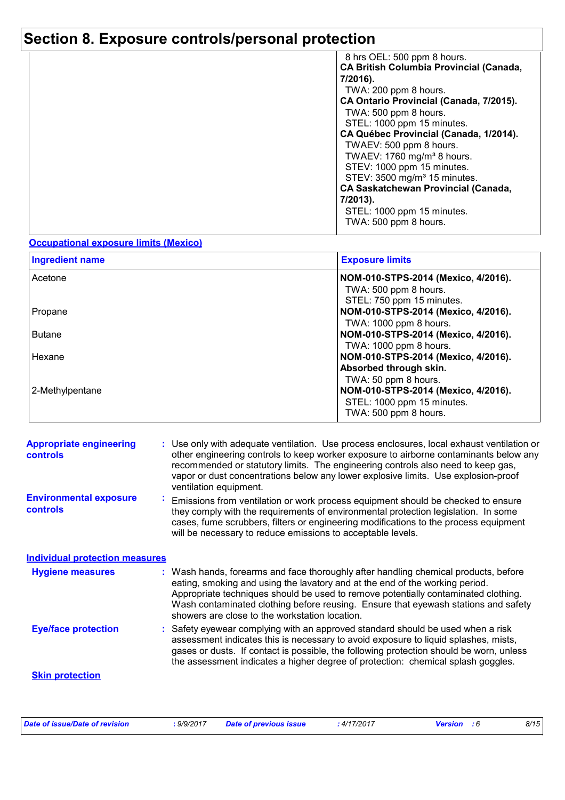| 8 hrs OEL: 500 ppm 8 hours.                    |  |
|------------------------------------------------|--|
| <b>CA British Columbia Provincial (Canada,</b> |  |
| 7/2016).                                       |  |
| TWA: 200 ppm 8 hours.                          |  |
| CA Ontario Provincial (Canada, 7/2015).        |  |
| TWA: 500 ppm 8 hours.                          |  |
| STEL: 1000 ppm 15 minutes.                     |  |
| CA Québec Provincial (Canada, 1/2014).         |  |
| TWAEV: 500 ppm 8 hours.                        |  |
| TWAEV: 1760 mg/m <sup>3</sup> 8 hours.         |  |
| STEV: 1000 ppm 15 minutes.                     |  |
| STEV: 3500 mg/m <sup>3</sup> 15 minutes.       |  |
| <b>CA Saskatchewan Provincial (Canada,</b>     |  |
| 7/2013).                                       |  |
| STEL: 1000 ppm 15 minutes.                     |  |
| TWA: 500 ppm 8 hours.                          |  |

#### **Occupational exposure limits (Mexico)**

| <b>Ingredient name</b> | <b>Exposure limits</b>              |
|------------------------|-------------------------------------|
| Acetone                | NOM-010-STPS-2014 (Mexico, 4/2016). |
|                        | TWA: 500 ppm 8 hours.               |
|                        | STEL: 750 ppm 15 minutes.           |
| Propane                | NOM-010-STPS-2014 (Mexico, 4/2016). |
|                        | TWA: 1000 ppm 8 hours.              |
| <b>Butane</b>          | NOM-010-STPS-2014 (Mexico, 4/2016). |
|                        | TWA: 1000 ppm 8 hours.              |
| Hexane                 | NOM-010-STPS-2014 (Mexico, 4/2016). |
|                        | Absorbed through skin.              |
|                        | TWA: 50 ppm 8 hours.                |
| 2-Methylpentane        | NOM-010-STPS-2014 (Mexico, 4/2016). |
|                        | STEL: 1000 ppm 15 minutes.          |
|                        | TWA: 500 ppm 8 hours.               |

| <b>Appropriate engineering</b><br><b>controls</b> |              | : Use only with adequate ventilation. Use process enclosures, local exhaust ventilation or<br>other engineering controls to keep worker exposure to airborne contaminants below any<br>recommended or statutory limits. The engineering controls also need to keep gas,<br>vapor or dust concentrations below any lower explosive limits. Use explosion-proof<br>ventilation equipment.           |
|---------------------------------------------------|--------------|---------------------------------------------------------------------------------------------------------------------------------------------------------------------------------------------------------------------------------------------------------------------------------------------------------------------------------------------------------------------------------------------------|
| <b>Environmental exposure</b><br><b>controls</b>  | $\mathbf{r}$ | Emissions from ventilation or work process equipment should be checked to ensure<br>they comply with the requirements of environmental protection legislation. In some<br>cases, fume scrubbers, filters or engineering modifications to the process equipment<br>will be necessary to reduce emissions to acceptable levels.                                                                     |
| <b>Individual protection measures</b>             |              |                                                                                                                                                                                                                                                                                                                                                                                                   |
| <b>Hygiene measures</b>                           |              | : Wash hands, forearms and face thoroughly after handling chemical products, before<br>eating, smoking and using the lavatory and at the end of the working period.<br>Appropriate techniques should be used to remove potentially contaminated clothing.<br>Wash contaminated clothing before reusing. Ensure that eyewash stations and safety<br>showers are close to the workstation location. |
| <b>Eye/face protection</b>                        |              | : Safety eyewear complying with an approved standard should be used when a risk<br>assessment indicates this is necessary to avoid exposure to liquid splashes, mists,<br>gases or dusts. If contact is possible, the following protection should be worn, unless<br>the assessment indicates a higher degree of protection: chemical splash goggles.                                             |
| <b>Skin protection</b>                            |              |                                                                                                                                                                                                                                                                                                                                                                                                   |

| Date of issue/Date of revision | .9/9/2017 | Date of previous issue | : 4/17/2017 | <b>Version</b> : 6 | 8/15 |
|--------------------------------|-----------|------------------------|-------------|--------------------|------|
|--------------------------------|-----------|------------------------|-------------|--------------------|------|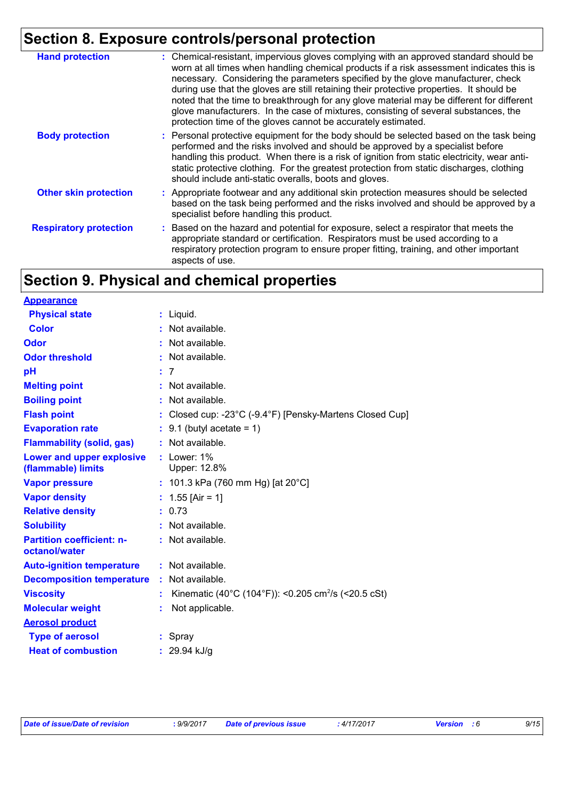| <b>Hand protection</b>        | : Chemical-resistant, impervious gloves complying with an approved standard should be<br>worn at all times when handling chemical products if a risk assessment indicates this is<br>necessary. Considering the parameters specified by the glove manufacturer, check<br>during use that the gloves are still retaining their protective properties. It should be<br>noted that the time to breakthrough for any glove material may be different for different<br>glove manufacturers. In the case of mixtures, consisting of several substances, the<br>protection time of the gloves cannot be accurately estimated. |
|-------------------------------|------------------------------------------------------------------------------------------------------------------------------------------------------------------------------------------------------------------------------------------------------------------------------------------------------------------------------------------------------------------------------------------------------------------------------------------------------------------------------------------------------------------------------------------------------------------------------------------------------------------------|
| <b>Body protection</b>        | : Personal protective equipment for the body should be selected based on the task being<br>performed and the risks involved and should be approved by a specialist before<br>handling this product. When there is a risk of ignition from static electricity, wear anti-<br>static protective clothing. For the greatest protection from static discharges, clothing<br>should include anti-static overalls, boots and gloves.                                                                                                                                                                                         |
| <b>Other skin protection</b>  | : Appropriate footwear and any additional skin protection measures should be selected<br>based on the task being performed and the risks involved and should be approved by a<br>specialist before handling this product.                                                                                                                                                                                                                                                                                                                                                                                              |
| <b>Respiratory protection</b> | : Based on the hazard and potential for exposure, select a respirator that meets the<br>appropriate standard or certification. Respirators must be used according to a<br>respiratory protection program to ensure proper fitting, training, and other important<br>aspects of use.                                                                                                                                                                                                                                                                                                                                    |

## **Section 9. Physical and chemical properties**

| <b>Appearance</b>                                 |    |                                                                 |
|---------------------------------------------------|----|-----------------------------------------------------------------|
| <b>Physical state</b>                             | ÷. | Liquid.                                                         |
| <b>Color</b>                                      |    | Not available.                                                  |
| Odor                                              | ÷  | Not available.                                                  |
| <b>Odor threshold</b>                             | ř. | Not available.                                                  |
| рH                                                |    | $\overline{7}$                                                  |
| <b>Melting point</b>                              | ÷. | Not available.                                                  |
| <b>Boiling point</b>                              | t  | Not available.                                                  |
| <b>Flash point</b>                                |    | Closed cup: -23°C (-9.4°F) [Pensky-Martens Closed Cup]          |
| <b>Evaporation rate</b>                           |    | 9.1 (butyl acetate = $1$ )                                      |
| <b>Flammability (solid, gas)</b>                  |    | : Not available.                                                |
| Lower and upper explosive<br>(flammable) limits   |    | : Lower: $1\%$<br>Upper: 12.8%                                  |
| <b>Vapor pressure</b>                             |    | : 101.3 kPa (760 mm Hg) [at $20^{\circ}$ C]                     |
| <b>Vapor density</b>                              |    | 1.55 [Air = 1]                                                  |
| <b>Relative density</b>                           | t. | 0.73                                                            |
| <b>Solubility</b>                                 | ÷  | Not available.                                                  |
| <b>Partition coefficient: n-</b><br>octanol/water |    | : Not available.                                                |
| <b>Auto-ignition temperature</b>                  |    | : Not available.                                                |
| <b>Decomposition temperature</b>                  |    | Not available.                                                  |
| <b>Viscosity</b>                                  |    | Kinematic (40°C (104°F)): <0.205 cm <sup>2</sup> /s (<20.5 cSt) |
| <b>Molecular weight</b>                           |    | Not applicable.                                                 |
| <b>Aerosol product</b>                            |    |                                                                 |
| <b>Type of aerosol</b>                            |    | Spray                                                           |
| <b>Heat of combustion</b>                         |    | 29.94 kJ/g                                                      |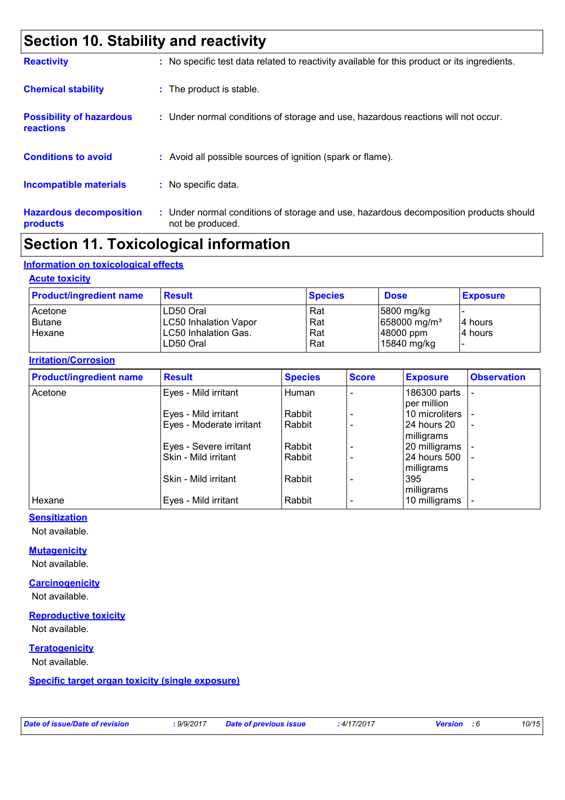## **Section 10. Stability and reactivity**

| <b>Reactivity</b>                                   | : No specific test data related to reactivity available for this product or its ingredients.              |
|-----------------------------------------------------|-----------------------------------------------------------------------------------------------------------|
| <b>Chemical stability</b>                           | : The product is stable.                                                                                  |
| <b>Possibility of hazardous</b><br><b>reactions</b> | : Under normal conditions of storage and use, hazardous reactions will not occur.                         |
| <b>Conditions to avoid</b>                          | : Avoid all possible sources of ignition (spark or flame).                                                |
| <b>Incompatible materials</b>                       | : No specific data.                                                                                       |
| <b>Hazardous decomposition</b><br>products          | : Under normal conditions of storage and use, hazardous decomposition products should<br>not be produced. |

## **Section 11. Toxicological information**

#### **Information on toxicological effects**

#### **Acute toxicity**

| <b>Product/ingredient name</b> | <b>Result</b>                | <b>Species</b> | <b>Dose</b>                | <b>Exposure</b> |
|--------------------------------|------------------------------|----------------|----------------------------|-----------------|
| Acetone                        | LD50 Oral                    | Rat            | $ 5800 \text{ mg/kg} $     |                 |
| <b>Butane</b>                  | <b>LC50 Inhalation Vapor</b> | Rat            | $658000$ mg/m <sup>3</sup> | 14 hours        |
| Hexane                         | LC50 Inhalation Gas.         | Rat            | 48000 ppm                  | 4 hours         |
|                                | LD50 Oral                    | Rat            | 15840 mg/kg                |                 |

#### **Irritation/Corrosion**

| <b>Product/ingredient name</b> | <b>Result</b>            | <b>Species</b> | <b>Score</b> | <b>Exposure</b> | <b>Observation</b>       |
|--------------------------------|--------------------------|----------------|--------------|-----------------|--------------------------|
| Acetone                        | Eyes - Mild irritant     | Human          |              | 186300 parts    |                          |
|                                |                          |                |              | per million     |                          |
|                                | Eyes - Mild irritant     | Rabbit         |              | 10 microliters  |                          |
|                                | Eyes - Moderate irritant | Rabbit         |              | 24 hours 20     | $\overline{\phantom{a}}$ |
|                                |                          |                |              | milligrams      |                          |
|                                | Eyes - Severe irritant   | Rabbit         |              | 20 milligrams   |                          |
|                                | Skin - Mild irritant     | Rabbit         |              | 24 hours 500    | $\overline{\phantom{a}}$ |
|                                |                          |                |              | milligrams      |                          |
|                                | Skin - Mild irritant     | Rabbit         |              | 395             |                          |
|                                |                          |                |              | milligrams      |                          |
| Hexane                         | Eyes - Mild irritant     | Rabbit         |              | 10 milligrams   |                          |

#### **Sensitization**

Not available.

#### **Mutagenicity**

Not available.

#### **Carcinogenicity**

Not available.

### **Reproductive toxicity**

Not available.

#### **Teratogenicity**

Not available.

#### **Specific target organ toxicity (single exposure)**

*Date of issue/Date of revision* **:** *9/9/2017 Date of previous issue : 4/17/2017 Version : 6 10/15*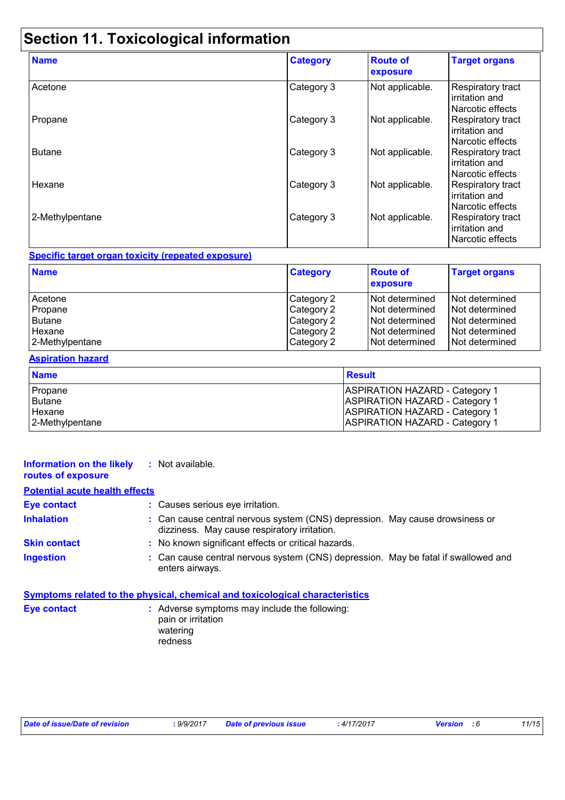## **Section 11. Toxicological information**

| <b>Name</b>     | <b>Category</b> | <b>Route of</b><br>exposure | <b>Target organs</b>                                           |
|-----------------|-----------------|-----------------------------|----------------------------------------------------------------|
| Acetone         | Category 3      | Not applicable.             | Respiratory tract<br>irritation and<br>Narcotic effects        |
| Propane         | Category 3      | Not applicable.             | Respiratory tract<br>irritation and<br>Narcotic effects        |
| <b>Butane</b>   | Category 3      | Not applicable.             | <b>Respiratory tract</b><br>irritation and<br>Narcotic effects |
| Hexane          | Category 3      | Not applicable.             | Respiratory tract<br>irritation and<br>Narcotic effects        |
| 2-Methylpentane | Category 3      | Not applicable.             | Respiratory tract<br>irritation and<br>Narcotic effects        |

#### **Specific target organ toxicity (repeated exposure)**

| <b>Name</b>     | <b>Category</b> | <b>Route of</b><br>exposure | <b>Target organs</b> |
|-----------------|-----------------|-----------------------------|----------------------|
| Acetone         | Category 2      | INot determined             | Not determined       |
| Propane         | Category 2      | INot determined             | Not determined       |
| Butane          | Category 2      | INot determined             | l Not determined     |
| Hexane          | Category 2      | Not determined              | I Not determined     |
| 2-Methylpentane | Category 2      | INot determined             | Not determined       |

#### **Aspiration hazard**

| <b>Name</b>     | <b>Result</b>                         |
|-----------------|---------------------------------------|
| Propane         | <b>ASPIRATION HAZARD - Category 1</b> |
| <b>Butane</b>   | <b>ASPIRATION HAZARD - Category 1</b> |
| Hexane          | <b>ASPIRATION HAZARD - Category 1</b> |
| 2-Methylpentane | <b>ASPIRATION HAZARD - Category 1</b> |

#### **Information on the likely :** Not available. **routes of exposure**

| <b>Potential acute health effects</b> |                                                                                                                              |
|---------------------------------------|------------------------------------------------------------------------------------------------------------------------------|
| <b>Eye contact</b>                    | : Causes serious eye irritation.                                                                                             |
| <b>Inhalation</b>                     | : Can cause central nervous system (CNS) depression. May cause drowsiness or<br>dizziness. May cause respiratory irritation. |
| <b>Skin contact</b>                   | : No known significant effects or critical hazards.                                                                          |
| <b>Ingestion</b>                      | : Can cause central nervous system (CNS) depression. May be fatal if swallowed and<br>enters airways.                        |

## **Symptoms related to the physical, chemical and toxicological characteristics**

**Eye contact :** Adverse symptoms may include the following: pain or irritation watering redness

| Date of issue/Date of revision | 9/9/2017 | <b>Date of previous issue</b> | $:4/17/201^-$ | Versior | 1/15 |
|--------------------------------|----------|-------------------------------|---------------|---------|------|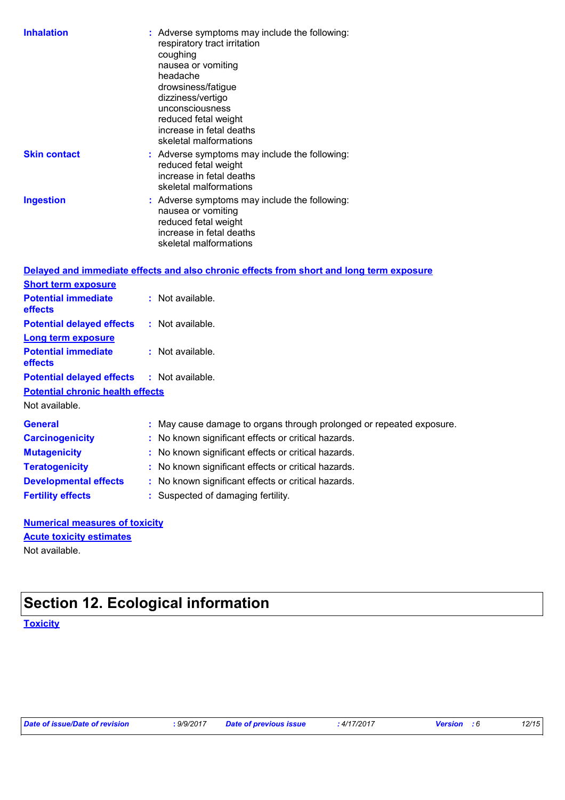| <b>Inhalation</b>                       | : Adverse symptoms may include the following:<br>respiratory tract irritation<br>coughing<br>nausea or vomiting<br>headache<br>drowsiness/fatigue<br>dizziness/vertigo<br>unconsciousness<br>reduced fetal weight<br>increase in fetal deaths<br>skeletal malformations |
|-----------------------------------------|-------------------------------------------------------------------------------------------------------------------------------------------------------------------------------------------------------------------------------------------------------------------------|
| <b>Skin contact</b>                     | : Adverse symptoms may include the following:<br>reduced fetal weight<br>increase in fetal deaths<br>skeletal malformations                                                                                                                                             |
| <b>Ingestion</b>                        | : Adverse symptoms may include the following:<br>nausea or vomiting<br>reduced fetal weight<br>increase in fetal deaths<br>skeletal malformations                                                                                                                       |
|                                         | Delayed and immediate effects and also chronic effects from short and long term exposure                                                                                                                                                                                |
| <b>Short term exposure</b>              |                                                                                                                                                                                                                                                                         |
| <b>Potential immediate</b><br>effects   | : Not available.                                                                                                                                                                                                                                                        |
| <b>Potential delayed effects</b>        | : Not available.                                                                                                                                                                                                                                                        |
| <b>Long term exposure</b>               |                                                                                                                                                                                                                                                                         |
| <b>Potential immediate</b><br>effects   | : Not available.                                                                                                                                                                                                                                                        |
| <b>Potential delayed effects</b>        | : Not available.                                                                                                                                                                                                                                                        |
| <b>Potential chronic health effects</b> |                                                                                                                                                                                                                                                                         |
| Not available.                          |                                                                                                                                                                                                                                                                         |
| <b>General</b>                          | : May cause damage to organs through prolonged or repeated exposure.                                                                                                                                                                                                    |
| <b>Carcinogenicity</b>                  | : No known significant effects or critical hazards.                                                                                                                                                                                                                     |
| <b>Mutagenicity</b>                     | : No known significant effects or critical hazards.                                                                                                                                                                                                                     |
| <b>Teratogenicity</b>                   | No known significant effects or critical hazards.                                                                                                                                                                                                                       |
| <b>Developmental effects</b>            | : No known significant effects or critical hazards.                                                                                                                                                                                                                     |
| <b>Fertility effects</b>                | : Suspected of damaging fertility.                                                                                                                                                                                                                                      |
| Numorical monetime of toxicity          |                                                                                                                                                                                                                                                                         |

#### **Numerical measures of toxicity** Not available. **Acute toxicity estimates**

## **Section 12. Ecological information**

**Toxicity**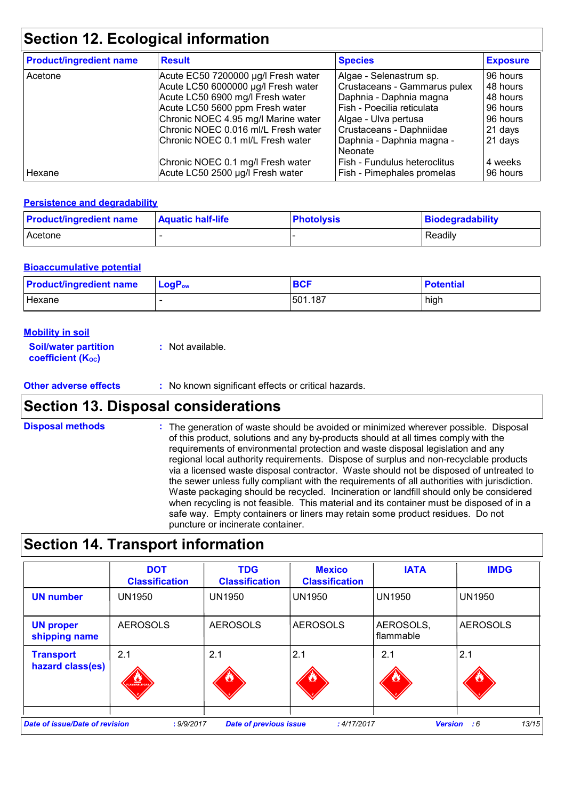## **Section 12. Ecological information**

| <b>Product/ingredient name</b> | <b>Result</b>                       | <b>Species</b>                       | <b>Exposure</b> |
|--------------------------------|-------------------------------------|--------------------------------------|-----------------|
| Acetone                        | Acute EC50 7200000 µg/l Fresh water | Algae - Selenastrum sp.              | 96 hours        |
|                                | Acute LC50 6000000 µg/l Fresh water | Crustaceans - Gammarus pulex         | 48 hours        |
|                                | Acute LC50 6900 mg/l Fresh water    | Daphnia - Daphnia magna              | 48 hours        |
|                                | Acute LC50 5600 ppm Fresh water     | Fish - Poecilia reticulata           | 96 hours        |
|                                | Chronic NOEC 4.95 mg/l Marine water | Algae - Ulva pertusa                 | 96 hours        |
|                                | Chronic NOEC 0.016 ml/L Fresh water | Crustaceans - Daphniidae             | 21 days         |
|                                | Chronic NOEC 0.1 ml/L Fresh water   | Daphnia - Daphnia magna -<br>Neonate | 21 days         |
|                                | Chronic NOEC 0.1 mg/l Fresh water   | Fish - Fundulus heteroclitus         | 4 weeks         |
| Hexane                         | Acute LC50 2500 µg/l Fresh water    | Fish - Pimephales promelas           | 96 hours        |

#### **Persistence and degradability**

| <b>Product/ingredient name</b> | <b>Aquatic half-life</b> | <b>Photolysis</b> | Biodegradability |
|--------------------------------|--------------------------|-------------------|------------------|
| <b>Acetone</b>                 |                          |                   | Readily          |

#### **Bioaccumulative potential**

| <b>Product/ingredient name</b> | $LogPow$ | <b>BCF</b> | <b>Potential</b> |
|--------------------------------|----------|------------|------------------|
| Hexane                         |          | 501.187    | high             |

| <b>Mobility in soil</b>                  |  |
|------------------------------------------|--|
| <b>Constitution of the constitutions</b> |  |

| <b>Soil/water partition</b>    | : Not available. |
|--------------------------------|------------------|
| coefficient (K <sub>oc</sub> ) |                  |

**Other adverse effects** : No known significant effects or critical hazards.

### **Section 13. Disposal considerations**

The generation of waste should be avoided or minimized wherever possible. Disposal of this product, solutions and any by-products should at all times comply with the requirements of environmental protection and waste disposal legislation and any regional local authority requirements. Dispose of surplus and non-recyclable products via a licensed waste disposal contractor. Waste should not be disposed of untreated to the sewer unless fully compliant with the requirements of all authorities with jurisdiction. Waste packaging should be recycled. Incineration or landfill should only be considered when recycling is not feasible. This material and its container must be disposed of in a safe way. Empty containers or liners may retain some product residues. Do not puncture or incinerate container. **Disposal methods :**

### **Section 14. Transport information**

|                                      | <b>DOT</b><br><b>Classification</b> | <b>TDG</b><br><b>Classification</b> | <b>Mexico</b><br><b>Classification</b> | <b>IATA</b>            | <b>IMDG</b>                   |
|--------------------------------------|-------------------------------------|-------------------------------------|----------------------------------------|------------------------|-------------------------------|
| <b>UN number</b>                     | <b>UN1950</b>                       | <b>UN1950</b>                       | <b>UN1950</b>                          | <b>UN1950</b>          | <b>UN1950</b>                 |
| <b>UN proper</b><br>shipping name    | <b>AEROSOLS</b>                     | <b>AEROSOLS</b>                     | <b>AEROSOLS</b>                        | AEROSOLS,<br>flammable | <b>AEROSOLS</b>               |
| <b>Transport</b><br>hazard class(es) | 2.1<br>LAMMABLE GAS                 | 2.1<br><u>o,</u>                    | 2.1                                    | 2.1                    | 2.1                           |
| Date of issue/Date of revision       | : 9/9/2017                          | <b>Date of previous issue</b>       | :4/17/2017                             |                        | 13/15<br><b>Version</b><br>:6 |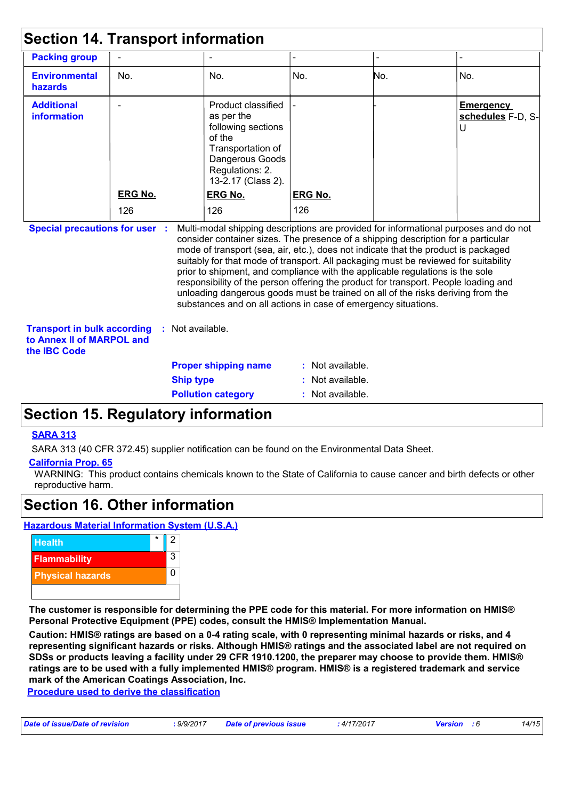| <b>Section 14. Transport information</b>                                               |                |                             |                                                                                                                                                   |                  |                                                                                                                                                                                                                                                                                                                                                                                                                                                                                                                                                                                                                   |                                            |
|----------------------------------------------------------------------------------------|----------------|-----------------------------|---------------------------------------------------------------------------------------------------------------------------------------------------|------------------|-------------------------------------------------------------------------------------------------------------------------------------------------------------------------------------------------------------------------------------------------------------------------------------------------------------------------------------------------------------------------------------------------------------------------------------------------------------------------------------------------------------------------------------------------------------------------------------------------------------------|--------------------------------------------|
| <b>Packing group</b>                                                                   |                |                             |                                                                                                                                                   |                  |                                                                                                                                                                                                                                                                                                                                                                                                                                                                                                                                                                                                                   |                                            |
| <b>Environmental</b><br>hazards                                                        | No.            |                             | No.                                                                                                                                               | No.              | No.                                                                                                                                                                                                                                                                                                                                                                                                                                                                                                                                                                                                               | No.                                        |
| <b>Additional</b><br><b>information</b>                                                |                |                             | Product classified<br>as per the<br>following sections<br>of the<br>Transportation of<br>Dangerous Goods<br>Regulations: 2.<br>13-2.17 (Class 2). |                  |                                                                                                                                                                                                                                                                                                                                                                                                                                                                                                                                                                                                                   | <b>Emergency</b><br>schedules F-D, S-<br>U |
|                                                                                        | <b>ERG No.</b> |                             | <b>ERG No.</b>                                                                                                                                    | <b>ERG No.</b>   |                                                                                                                                                                                                                                                                                                                                                                                                                                                                                                                                                                                                                   |                                            |
|                                                                                        | 126            |                             | 126                                                                                                                                               | 126              |                                                                                                                                                                                                                                                                                                                                                                                                                                                                                                                                                                                                                   |                                            |
| <b>Special precautions for user :</b>                                                  |                |                             | substances and on all actions in case of emergency situations.                                                                                    |                  | Multi-modal shipping descriptions are provided for informational purposes and do not<br>consider container sizes. The presence of a shipping description for a particular<br>mode of transport (sea, air, etc.), does not indicate that the product is packaged<br>suitably for that mode of transport. All packaging must be reviewed for suitability<br>prior to shipment, and compliance with the applicable regulations is the sole<br>responsibility of the person offering the product for transport. People loading and<br>unloading dangerous goods must be trained on all of the risks deriving from the |                                            |
| <b>Transport in bulk according</b><br>to Annex II of MARPOL and<br>the <b>IBC</b> Code |                | : Not available.            |                                                                                                                                                   |                  |                                                                                                                                                                                                                                                                                                                                                                                                                                                                                                                                                                                                                   |                                            |
|                                                                                        |                | <b>Proper shipping name</b> |                                                                                                                                                   | : Not available. |                                                                                                                                                                                                                                                                                                                                                                                                                                                                                                                                                                                                                   |                                            |
|                                                                                        |                | <b>Ship type</b>            |                                                                                                                                                   | Not available.   |                                                                                                                                                                                                                                                                                                                                                                                                                                                                                                                                                                                                                   |                                            |
|                                                                                        |                |                             | <b>Pollution category</b>                                                                                                                         | : Not available. |                                                                                                                                                                                                                                                                                                                                                                                                                                                                                                                                                                                                                   |                                            |

## **Section 15. Regulatory information**

#### **SARA 313**

SARA 313 (40 CFR 372.45) supplier notification can be found on the Environmental Data Sheet.

#### **California Prop. 65**

WARNING: This product contains chemicals known to the State of California to cause cancer and birth defects or other reproductive harm.

### **Section 16. Other information**

**Hazardous Material Information System (U.S.A.)**



**The customer is responsible for determining the PPE code for this material. For more information on HMIS® Personal Protective Equipment (PPE) codes, consult the HMIS® Implementation Manual.**

**Caution: HMIS® ratings are based on a 0-4 rating scale, with 0 representing minimal hazards or risks, and 4 representing significant hazards or risks. Although HMIS® ratings and the associated label are not required on SDSs or products leaving a facility under 29 CFR 1910.1200, the preparer may choose to provide them. HMIS® ratings are to be used with a fully implemented HMIS® program. HMIS® is a registered trademark and service mark of the American Coatings Association, Inc.**

**Procedure used to derive the classification**